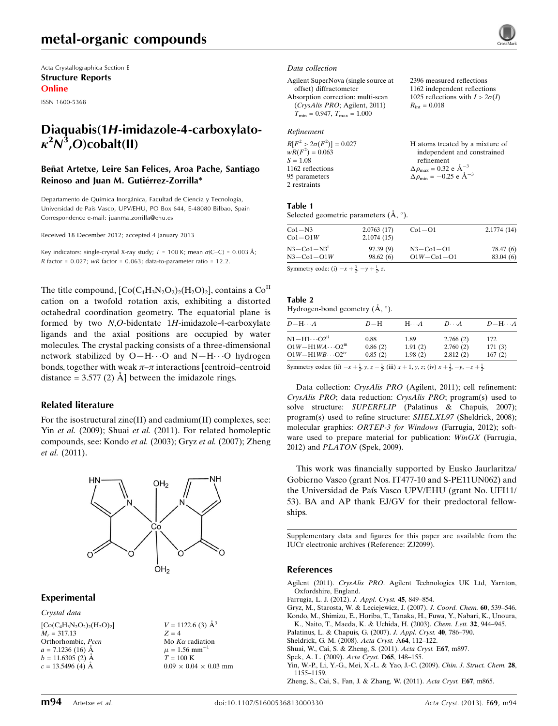Acta Crystallographica Section E Structure Reports Online

ISSN 1600-5368

# Diaquabis(1H-imidazole-4-carboxylato- $\kappa^2 N^3$ ,O)cobalt(II)

#### Beñat Artetxe, Leire San Felices, Aroa Pache, Santiago Reinoso and Juan M. Gutiérrez-Zorrilla\*

Departamento de Química Inorgánica, Facultad de Ciencia y Tecnología, Universidad de País Vasco, UPV/EHU, PO Box 644, E-48080 Bilbao, Spain Correspondence e-mail: [juanma.zorrilla@ehu.es](https://scripts.iucr.org/cgi-bin/cr.cgi?rm=pdfbb&cnor=zj2099&bbid=BB10)

Received 18 December 2012; accepted 4 January 2013

Key indicators: single-crystal X-ray study;  $T = 100$  K; mean  $\sigma$ (C–C) = 0.003 Å;  $R$  factor = 0.027;  $wR$  factor = 0.063; data-to-parameter ratio = 12.2.

The title compound,  $[Co(C_4H_3N_2O_2)_2(H_2O)_2]$ , contains a  $Co<sup>II</sup>$ cation on a twofold rotation axis, exhibiting a distorted octahedral coordination geometry. The equatorial plane is formed by two N,O-bidentate 1H-imidazole-4-carboxylate ligands and the axial positions are occupied by water molecules. The crystal packing consists of a three-dimensional network stabilized by O-H $\cdots$ O and N-H $\cdots$ O hydrogen bonds, together with weak  $\pi-\pi$  interactions [centroid–centroid distance =  $3.577(2)$  Å between the imidazole rings.

#### Related literature

For the isostructural zinc(II) and cadmium(II) complexes, see: Yin et al. (2009); Shuai et al. (2011). For related homoleptic compounds, see: Kondo et al. (2003); Gryz et al. (2007); Zheng et al. (2011).



#### Experimental

Crystal data  $[Co(C_4H_3N_2O_2)_2(H_2O)_2]$  $M_r = 317.13$ Orthorhombic, Pccn  $a = 7.1236$  (16) Å  $b = 11.6305(2)$  Å  $c = 13.5496$  (4) Å

 $V = 1122.6$  (3)  $\AA^3$  $Z = 4$ Mo  $K\alpha$  radiation  $\mu = 1.56$  mm<sup>-1</sup>  $T = 100$  K  $0.09 \times 0.04 \times 0.03$  mm

#### Data collection

Agilent SuperNova (single source at offset) diffractometer Absorption correction: multi-scan (CrysAlis PRO; Agilent, 2011)  $T_{\text{min}} = 0.947, T_{\text{max}} = 1.000$ 

#### Refinement

| $R[F^2 > 2\sigma(F^2)] = 0.027$ | H atoms treated by a mixture of                      |
|---------------------------------|------------------------------------------------------|
| $wR(F^2) = 0.063$               | independent and constrained                          |
| $S = 1.08$                      | refinement                                           |
| 1162 reflections                | $\Delta \rho_{\text{max}} = 0.32 \text{ e A}^{-3}$   |
| 95 parameters                   | $\Delta \rho_{\text{min}} = -0.25$ e $\rm{\AA}^{-3}$ |
| 2 restraints                    |                                                      |

2396 measured reflections 1162 independent reflections 1025 reflections with  $I > 2\sigma(I)$ 

 $R_{\text{int}} = 0.018$ 

#### Table 1

Selected geometric parameters  $(\mathring{A}, \degree)$ .

| $Co1-N3$         | 2.0763(17) | $Co1-O1$         | 2.1774(14) |
|------------------|------------|------------------|------------|
| $Co1-O1W$        | 2.1074(15) |                  |            |
| $N3 - Co1 - N31$ | 97.39(9)   | $N3 - Co1 - O1$  | 78.47 (6)  |
| $N3 - Co1 - O1W$ | 98.62(6)   | $O1W - Co1 - O1$ | 83.04(6)   |

Symmetry code: (i)  $-x + \frac{3}{2}, -y + \frac{1}{2}, z$ .

#### Table 2

Hydrogen-bond geometry  $(A, \circ)$ .

| $D - H \cdots A$                                                                                                | $D-H$                                                                                                                                                                                                                             | $H\cdots A$ | $D\cdots A$ | $D - H \cdots A$ |
|-----------------------------------------------------------------------------------------------------------------|-----------------------------------------------------------------------------------------------------------------------------------------------------------------------------------------------------------------------------------|-------------|-------------|------------------|
| $\rm N1\!-\!H1\!\cdots\!O2^{ii}$                                                                                | 0.88                                                                                                                                                                                                                              | 1.89        | 2.766(2)    | 172              |
| $O1W - H1WA \cdots O2$ <sup>iii</sup>                                                                           | 0.86(2)                                                                                                                                                                                                                           | 1.91(2)     | 2.760(2)    | 171(3)           |
| $O1W - H1WB \cdots O2$ <sup>iv</sup>                                                                            | 0.85(2)                                                                                                                                                                                                                           | 1.98(2)     | 2.812(2)    | 167(2)           |
| the contract of the contract of the contract of the contract of the contract of the contract of the contract of | $\mathbf{A}$ . The contract of the contract of the contract of the contract of the contract of the contract of the contract of the contract of the contract of the contract of the contract of the contract of the contract of th |             |             |                  |

Symmetry codes: (ii)  $-x + \frac{1}{2}$ ,  $y$ ,  $z - \frac{1}{2}$ ; (iii)  $x + 1$ ,  $y$ ,  $z$ ; (iv)  $x + \frac{1}{2}$ ,  $-y$ ,  $-z + \frac{1}{2}$ .

Data collection: CrysAlis PRO (Agilent, 2011); cell refinement: CrysAlis PRO; data reduction: CrysAlis PRO; program(s) used to solve structure: SUPERFLIP (Palatinus & Chapuis, 2007); program(s) used to refine structure: SHELXL97 (Sheldrick, 2008); molecular graphics: ORTEP-3 for Windows (Farrugia, 2012); software used to prepare material for publication: WinGX (Farrugia, 2012) and PLATON (Spek, 2009).

This work was financially supported by Eusko Jaurlaritza/ Gobierno Vasco (grant Nos. IT477-10 and S-PE11UN062) and the Universidad de Paı´s Vasco UPV/EHU (grant No. UFI11/ 53). BA and AP thank EJ/GV for their predoctoral fellowships.

Supplementary data and figures for this paper are available from the IUCr electronic archives (Reference: ZJ2099).

#### References

- Agilent (2011). CrysAlis PRO[. Agilent Technologies UK Ltd, Yarnton,](https://scripts.iucr.org/cgi-bin/cr.cgi?rm=pdfbb&cnor=zj2099&bbid=BB1) [Oxfordshire, England.](https://scripts.iucr.org/cgi-bin/cr.cgi?rm=pdfbb&cnor=zj2099&bbid=BB1)
- [Farrugia, L. J. \(2012\).](https://scripts.iucr.org/cgi-bin/cr.cgi?rm=pdfbb&cnor=zj2099&bbid=BB2) J. Appl. Cryst. 45, 849–854.
- [Gryz, M., Starosta, W. & Leciejewicz, J. \(2007\).](https://scripts.iucr.org/cgi-bin/cr.cgi?rm=pdfbb&cnor=zj2099&bbid=BB3) J. Coord. Chem. 60, 539–546.
- [Kondo, M., Shimizu, E., Horiba, T., Tanaka, H., Fuwa, Y., Nabari, K., Unoura,](https://scripts.iucr.org/cgi-bin/cr.cgi?rm=pdfbb&cnor=zj2099&bbid=BB4) [K., Naito, T., Maeda, K. & Uchida, H. \(2003\).](https://scripts.iucr.org/cgi-bin/cr.cgi?rm=pdfbb&cnor=zj2099&bbid=BB4) Chem. Lett. 32, 944-945.
- [Palatinus, L. & Chapuis, G. \(2007\).](https://scripts.iucr.org/cgi-bin/cr.cgi?rm=pdfbb&cnor=zj2099&bbid=BB5) J. Appl. Cryst. 40, 786–790.
- [Sheldrick, G. M. \(2008\).](https://scripts.iucr.org/cgi-bin/cr.cgi?rm=pdfbb&cnor=zj2099&bbid=BB6) Acta Cryst. A64, 112–122.
- [Shuai, W., Cai, S. & Zheng, S. \(2011\).](https://scripts.iucr.org/cgi-bin/cr.cgi?rm=pdfbb&cnor=zj2099&bbid=BB7) Acta Cryst. E67, m897.
- [Spek, A. L. \(2009\).](https://scripts.iucr.org/cgi-bin/cr.cgi?rm=pdfbb&cnor=zj2099&bbid=BB8) Acta Cryst. D65, 148–155.
- [Yin, W.-P., Li, Y.-G., Mei, X.-L. & Yao, J.-C. \(2009\).](https://scripts.iucr.org/cgi-bin/cr.cgi?rm=pdfbb&cnor=zj2099&bbid=BB9) Chin. J. Struct. Chem. 28, [1155–1159.](https://scripts.iucr.org/cgi-bin/cr.cgi?rm=pdfbb&cnor=zj2099&bbid=BB9)
- [Zheng, S., Cai, S., Fan, J. & Zhang, W. \(2011\).](https://scripts.iucr.org/cgi-bin/cr.cgi?rm=pdfbb&cnor=zj2099&bbid=BB10) Acta Cryst. E67, m865.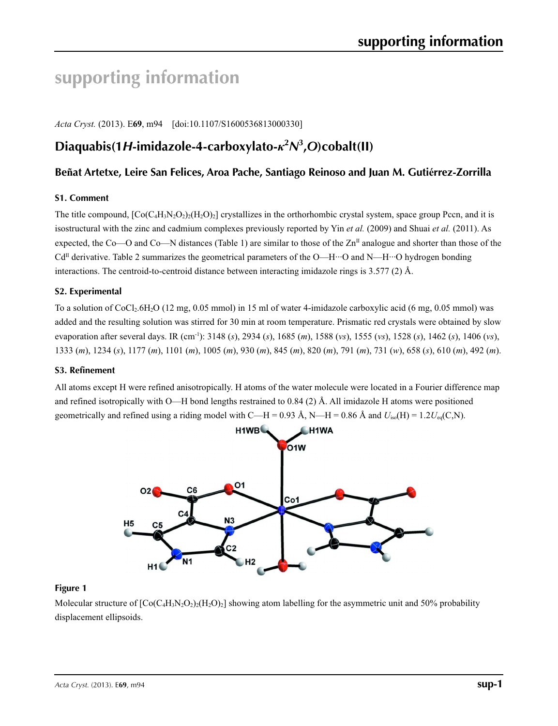# **supporting information**

*Acta Cryst.* (2013). E**69**, m94 [doi:10.1107/S1600536813000330]

# **Diaquabis(1***H***-imidazole-4-carboxylato-***κ***<sup>2</sup>** *N***3 ,***O***)cobalt(II)**

## **Beñat Artetxe, Leire San Felices, Aroa Pache, Santiago Reinoso and Juan M. Gutiérrez-Zorrilla**

## **S1. Comment**

The title compound,  $[Co(C_4H_3N_2O_2)(H_2O)_2]$  crystallizes in the orthorhombic crystal system, space group Pccn, and it is isostructural with the zinc and cadmium complexes previously reported by Yin *et al.* (2009) and Shuai *et al.* (2011). As expected, the Co—O and Co—N distances (Table 1) are similar to those of the  $\mathbb{Z}n^{\Pi}$  analogue and shorter than those of the  $Cd<sup>\Pi</sup>$  derivative. Table 2 summarizes the geometrical parameters of the O—H···O and N—H···O hydrogen bonding interactions. The centroid-to-centroid distance between interacting imidazole rings is 3.577 (2) Å.

## **S2. Experimental**

To a solution of CoCl2.6H2O (12 mg, 0.05 mmol) in 15 ml of water 4-imidazole carboxylic acid (6 mg, 0.05 mmol) was added and the resulting solution was stirred for 30 min at room temperature. Prismatic red crystals were obtained by slow evaporation after several days. IR (cm-1): 3148 (*s*), 2934 (*s*), 1685 (*m*), 1588 (*vs*), 1555 (*vs*), 1528 (*s*), 1462 (*s*), 1406 (*vs*), 1333 (*m*), 1234 (*s*), 1177 (*m*), 1101 (*m*), 1005 (*m*), 930 (*m*), 845 (*m*), 820 (*m*), 791 (*m*), 731 (*w*), 658 (*s*), 610 (*m*), 492 (*m*).

#### **S3. Refinement**

All atoms except H were refined anisotropically. H atoms of the water molecule were located in a Fourier difference map and refined isotropically with O—H bond lengths restrained to 0.84 (2) Å. All imidazole H atoms were positioned geometrically and refined using a riding model with C—H = 0.93 Å, N—H = 0.86 Å and  $U_{iso}(H) = 1.2U_{eq}(C, N)$ .



## **Figure 1**

Molecular structure of  $\left[Co(C_4H_3N_2O_2)\right]$  showing atom labelling for the asymmetric unit and 50% probability displacement ellipsoids.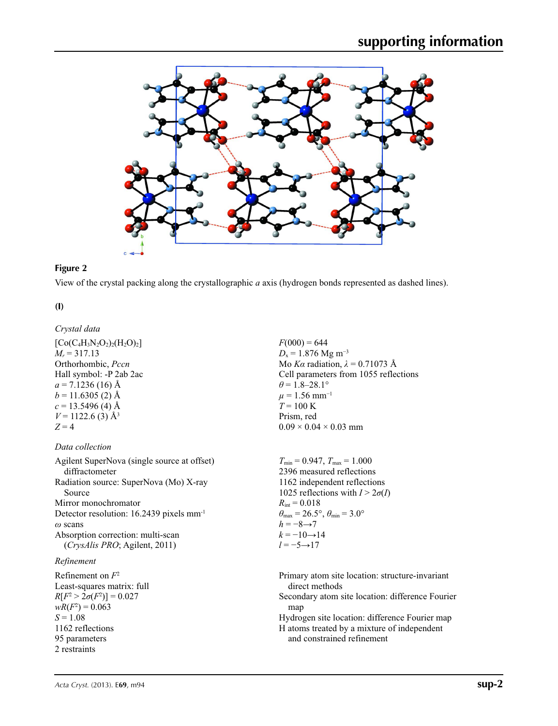

#### **Figure 2**

View of the crystal packing along the crystallographic *a* axis (hydrogen bonds represented as dashed lines).

**(I)** 

# *Crystal data*

 $[C_0(C_4H_3N_2O_2)_2(H_2O)_2]$  $M_r = 317.13$ Orthorhombic, *Pccn* Hall symbol: -P 2ab 2ac  $a = 7.1236$  (16) Å  $b = 11.6305(2)$  Å  $c = 13.5496$  (4) Å  $V = 1122.6$  (3)  $\AA$ <sup>3</sup>  $Z = 4$ 

## *Data collection*

Agilent SuperNova (single source at offset) diffractometer Radiation source: SuperNova (Mo) X-ray Source Mirror monochromator Detector resolution: 16.2439 pixels mm-1 *ω* scans Absorption correction: multi-scan (*CrysAlis PRO*; Agilent, 2011)

## *Refinement*

Refinement on *F*<sup>2</sup> Least-squares matrix: full  $R[F^2 > 2\sigma(F^2)] = 0.027$  $wR(F^2) = 0.063$  $S = 1.08$ 1162 reflections 95 parameters 2 restraints

 $F(000) = 644$  $D_x = 1.876$  Mg m<sup>-3</sup> Mo *Kα* radiation, *λ* = 0.71073 Å Cell parameters from 1055 reflections  $\theta$  = 1.8–28.1°  $\mu$  = 1.56 mm<sup>-1</sup>  $T = 100 \text{ K}$ Prism, red  $0.09 \times 0.04 \times 0.03$  mm

 $T_{\text{min}} = 0.947, T_{\text{max}} = 1.000$ 2396 measured reflections 1162 independent reflections 1025 reflections with  $I > 2\sigma(I)$  $R_{\text{int}} = 0.018$  $\theta_{\text{max}} = 26.5^{\circ}, \theta_{\text{min}} = 3.0^{\circ}$  $h = -8 \rightarrow 7$  $k = -10 \rightarrow 14$ *l* = −5→17

Primary atom site location: structure-invariant direct methods Secondary atom site location: difference Fourier map Hydrogen site location: difference Fourier map H atoms treated by a mixture of independent and constrained refinement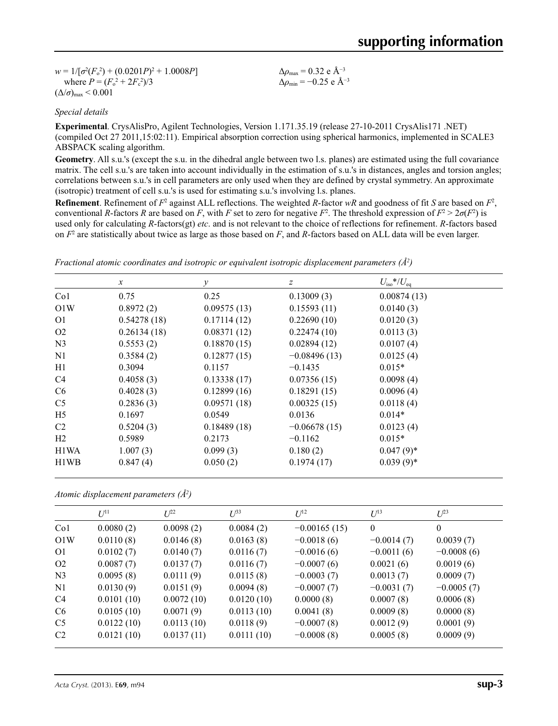$w = 1/[\sigma^2 (F_o^2) + (0.0201P)^2 + 1.0008P]$ where  $P = (F_o^2 + 2F_c^2)/3$  $(\Delta/\sigma)_{\text{max}}$  < 0.001

Δ*ρ*max = 0.32 e Å−3 Δ*ρ*min = −0.25 e Å−3

#### *Special details*

**Experimental**. CrysAlisPro, Agilent Technologies, Version 1.171.35.19 (release 27-10-2011 CrysAlis171 .NET) (compiled Oct 27 2011,15:02:11). Empirical absorption correction using spherical harmonics, implemented in SCALE3 ABSPACK scaling algorithm.

**Geometry**. All s.u.'s (except the s.u. in the dihedral angle between two l.s. planes) are estimated using the full covariance matrix. The cell s.u.'s are taken into account individually in the estimation of s.u.'s in distances, angles and torsion angles; correlations between s.u.'s in cell parameters are only used when they are defined by crystal symmetry. An approximate (isotropic) treatment of cell s.u.'s is used for estimating s.u.'s involving l.s. planes.

**Refinement**. Refinement of  $F^2$  against ALL reflections. The weighted  $R$ -factor  $wR$  and goodness of fit  $S$  are based on  $F^2$ , conventional *R*-factors *R* are based on *F*, with *F* set to zero for negative *F*<sup>2</sup>. The threshold expression of  $F^2 > 2\sigma(F^2)$  is used only for calculating *R*-factors(gt) *etc*. and is not relevant to the choice of reflections for refinement. *R*-factors based on *F*<sup>2</sup> are statistically about twice as large as those based on *F*, and *R*-factors based on ALL data will be even larger.

|                               | $\mathcal{X}$ | $\mathcal V$ | $\mathcal{Z}$  | $U_{\rm iso}*/U_{\rm eq}$ |
|-------------------------------|---------------|--------------|----------------|---------------------------|
| Co <sub>1</sub>               | 0.75          | 0.25         | 0.13009(3)     | 0.00874(13)               |
| O1W                           | 0.8972(2)     | 0.09575(13)  | 0.15593(11)    | 0.0140(3)                 |
| O <sub>1</sub>                | 0.54278(18)   | 0.17114(12)  | 0.22690(10)    | 0.0120(3)                 |
| O <sub>2</sub>                | 0.26134(18)   | 0.08371(12)  | 0.22474(10)    | 0.0113(3)                 |
| N <sub>3</sub>                | 0.5553(2)     | 0.18870(15)  | 0.02894(12)    | 0.0107(4)                 |
| N1                            | 0.3584(2)     | 0.12877(15)  | $-0.08496(13)$ | 0.0125(4)                 |
| H1                            | 0.3094        | 0.1157       | $-0.1435$      | $0.015*$                  |
| C4                            | 0.4058(3)     | 0.13338(17)  | 0.07356(15)    | 0.0098(4)                 |
| C <sub>6</sub>                | 0.4028(3)     | 0.12899(16)  | 0.18291(15)    | 0.0096(4)                 |
| C <sub>5</sub>                | 0.2836(3)     | 0.09571(18)  | 0.00325(15)    | 0.0118(4)                 |
| H <sub>5</sub>                | 0.1697        | 0.0549       | 0.0136         | $0.014*$                  |
| C2                            | 0.5204(3)     | 0.18489(18)  | $-0.06678(15)$ | 0.0123(4)                 |
| H <sub>2</sub>                | 0.5989        | 0.2173       | $-0.1162$      | $0.015*$                  |
| H1WA                          | 1.007(3)      | 0.099(3)     | 0.180(2)       | $0.047(9)$ *              |
| H <sub>1</sub> W <sub>B</sub> | 0.847(4)      | 0.050(2)     | 0.1974(17)     | $0.039(9)*$               |

*Fractional atomic coordinates and isotropic or equivalent isotropic displacement parameters (Å<sup>2</sup>)* 

*Atomic displacement parameters (Å2 )*

|                 | $U^{11}$   | $I^{22}$   | $U^{33}$   | $U^{12}$       | $U^{13}$     | $U^{23}$         |
|-----------------|------------|------------|------------|----------------|--------------|------------------|
| Co <sub>1</sub> | 0.0080(2)  | 0.0098(2)  | 0.0084(2)  | $-0.00165(15)$ | $\theta$     | $\boldsymbol{0}$ |
| O1W             | 0.0110(8)  | 0.0146(8)  | 0.0163(8)  | $-0.0018(6)$   | $-0.0014(7)$ | 0.0039(7)        |
| O <sub>1</sub>  | 0.0102(7)  | 0.0140(7)  | 0.0116(7)  | $-0.0016(6)$   | $-0.0011(6)$ | $-0.0008(6)$     |
| O <sub>2</sub>  | 0.0087(7)  | 0.0137(7)  | 0.0116(7)  | $-0.0007(6)$   | 0.0021(6)    | 0.0019(6)        |
| N <sub>3</sub>  | 0.0095(8)  | 0.0111(9)  | 0.0115(8)  | $-0.0003(7)$   | 0.0013(7)    | 0.0009(7)        |
| N1              | 0.0130(9)  | 0.0151(9)  | 0.0094(8)  | $-0.0007(7)$   | $-0.0031(7)$ | $-0.0005(7)$     |
| C <sub>4</sub>  | 0.0101(10) | 0.0072(10) | 0.0120(10) | 0.0000(8)      | 0.0007(8)    | 0.0006(8)        |
| C <sub>6</sub>  | 0.0105(10) | 0.0071(9)  | 0.0113(10) | 0.0041(8)      | 0.0009(8)    | 0.0000(8)        |
| C <sub>5</sub>  | 0.0122(10) | 0.0113(10) | 0.0118(9)  | $-0.0007(8)$   | 0.0012(9)    | 0.0001(9)        |
| C <sub>2</sub>  | 0.0121(10) | 0.0137(11) | 0.0111(10) | $-0.0008(8)$   | 0.0005(8)    | 0.0009(9)        |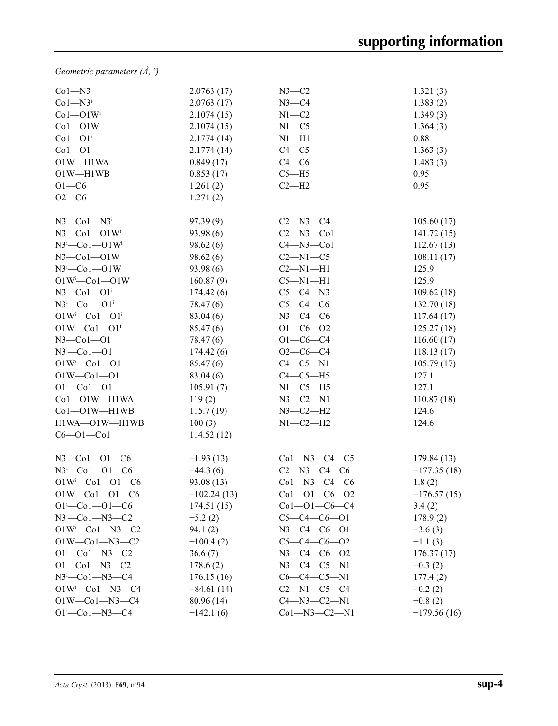*Geometric parameters (Å, º)*

| $Co1 - N3$                     | 2.0763(17)    | $N3-C2$              | 1.321(3)      |
|--------------------------------|---------------|----------------------|---------------|
| $Co1 - N3i$                    | 2.0763(17)    | $N3-C4$              | 1.383(2)      |
| $Co1 - O1W$                    | 2.1074(15)    | $N1 - C2$            | 1.349(3)      |
| $Co1 - O1W$                    | 2.1074(15)    | $N1 - C5$            | 1.364(3)      |
| $Co1 - O1$ <sup>i</sup>        | 2.1774(14)    | $N1 - H1$            | 0.88          |
| $Co1 - O1$                     | 2.1774(14)    | $C4 - C5$            | 1.363(3)      |
| O1W-H1WA                       | 0.849(17)     | $C4 - C6$            | 1.483(3)      |
| $O1W - H1WB$                   | 0.853(17)     | $C5 - H5$            | 0.95          |
| $O1-C6$                        | 1.261(2)      | $C2-H2$              | 0.95          |
| $O2 - C6$                      | 1.271(2)      |                      |               |
|                                |               |                      |               |
| $N3$ —Co $1$ —N $3i$           | 97.39(9)      | $C2 - N3 - C4$       | 105.60(17)    |
| $N3$ —Co $1$ —O $1Wi$          | 93.98(6)      | $C2 - N3 - Co1$      | 141.72(15)    |
| $N3^i$ -Co $1$ -O $1W^i$       | 98.62(6)      | $C4 - N3 - Co1$      | 112.67(13)    |
| $N3$ –Col–OlW                  | 98.62(6)      | $C2-M1-C5$           | 108.11(17)    |
| $N3^i$ -Col-OlW                | 93.98 (6)     | $C2-M1-H1$           | 125.9         |
| $O1W^i$ -Co $1$ -O1W           | 160.87(9)     | $C5 - N1 - H1$       | 125.9         |
| $N3$ —Co $1$ —O $1i$           | 174.42(6)     | $C5-C4-N3$           | 109.62(18)    |
| $N3^i$ -Col-Ol <sup>i</sup>    | 78.47 (6)     | $C5-C4-C6$           | 132.70(18)    |
| $O1W^{i}$ -Co $1$ -O $1^{i}$   | 83.04 (6)     | $N3-C4-C6$           | 117.64(17)    |
| $O1W - Co1 - O1$ <sup>i</sup>  | 85.47 (6)     | $O1 - C6 - O2$       | 125.27(18)    |
| $N3$ –Col–Ol                   | 78.47 (6)     | $O1 - C6 - C4$       | 116.60(17)    |
| $N3^i$ -Col-Ol                 | 174.42(6)     | $O2-C6-C4$           | 118.13(17)    |
| $O1W^{i}$ -Co $1$ -O1          | 85.47(6)      | $C4-C5-N1$           | 105.79(17)    |
| $O1W - Co1 - O1$               | 83.04 (6)     | $C4-C5-H5$           | 127.1         |
| $O1 - Co1 - O1$                | 105.91(7)     | $N1-C5-H5$           | 127.1         |
| Co1-O1W-H1WA                   | 119(2)        | $N3 - C2 - N1$       | 110.87(18)    |
| Co1-O1W-H1WB                   | 115.7(19)     | $N3 - C2 - H2$       | 124.6         |
| H1WA-O1W-H1WB                  | 100(3)        | $N1 - C2 - H2$       | 124.6         |
| $C6 - O1 - Co1$                | 114.52(12)    |                      |               |
| $N3$ –Col–Ol–C6                | $-1.93(13)$   | $Co1 - N3 - C4 - C5$ | 179.84(13)    |
| $N3^i$ -Col-Ol-C6              | $-44.3(6)$    | $C2 - N3 - C4 - C6$  | $-177.35(18)$ |
| $O1W^{i}$ -Col- $O1$ -C6       | 93.08 (13)    | $Co1 - N3 - C4 - C6$ | 1.8(2)        |
| $O1W$ — $Co1$ — $O1$ — $C6$    | $-102.24(13)$ | $Co1 - O1 - C6 - O2$ | $-176.57(15)$ |
| $O1^{i}$ - $Co1$ - $O1$ - $C6$ | 174.51(15)    | $Co1 - O1 - C6 - C4$ | 3.4(2)        |
| $N3^i$ -Col-N3-C2              | $-5.2(2)$     | $C5-C4-C6-01$        | 178.9(2)      |
| $O1W^{i}$ -Co1-N3-C2           | 94.1(2)       | $N3 - C4 - C6 - O1$  | $-3.6(3)$     |
| $O1W - Co1 - N3 - C2$          | $-100.4(2)$   | $C5-C4-C6-02$        | $-1.1(3)$     |
| $O1^{i}$ -Co $1$ -N3-C2        | 36.6(7)       | $N3 - C4 - C6 - O2$  | 176.37(17)    |
| $O1 - Co1 - N3 - C2$           | 178.6(2)      | $N3 - C4 - C5 - N1$  | $-0.3(2)$     |
| $N3^i$ -Co1-N3-C4              | 176.15(16)    | $C6-C4-C5-N1$        | 177.4(2)      |
| $O1W^{i}$ -Co1-N3-C4           | $-84.61(14)$  | $C2-M1-C5-C4$        | $-0.2(2)$     |
| $O1W$ — $Co1$ — $N3$ — $C4$    | 80.96 (14)    | $C4 - N3 - C2 - N1$  | $-0.8(2)$     |
| $O1^{i}$ -Co $1$ -N3-C4        | $-142.1(6)$   | $Co1 - N3 - C2 - N1$ | $-179.56(16)$ |